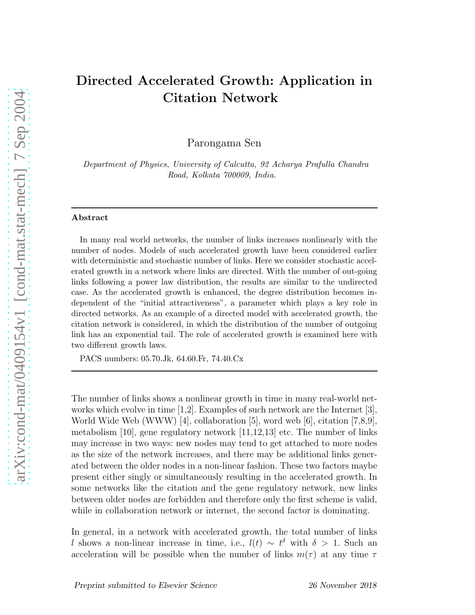# Directed Accelerated Growth: Application in Citation Network

Parongama Sen

Department of Physics, University of Calcutta, 92 Acharya Prafulla Chandra Road, Kolkata 700009, India.

### Abstract

In many real world networks, the number of links increases nonlinearly with the number of nodes. Models of such accelerated growth have been considered earlier with deterministic and stochastic number of links. Here we consider stochastic accelerated growth in a network where links are directed. With the number of out-going links following a power law distribution, the results are similar to the undirected case. As the accelerated growth is enhanced, the degree distribution becomes independent of the "initial attractiveness", a parameter which plays a key role in directed networks. As an example of a directed model with accelerated growth, the citation network is considered, in which the distribution of the number of outgoing link has an exponential tail. The role of accelerated growth is examined here with two different growth laws.

PACS numbers: 05.70.Jk, 64.60.Fr, 74.40.Cx

The number of links shows a nonlinear growth in time in many real-world networks which evolve in time [1,2]. Examples of such network are the Internet [3], World Wide Web (WWW) [4], collaboration [5], word web [6], citation [7,8,9], metabolism [10], gene regulatory network [11,12,13] etc. The number of links may increase in two ways: new nodes may tend to get attached to more nodes as the size of the network increases, and there may be additional links generated between the older nodes in a non-linear fashion. These two factors maybe present either singly or simultaneously resulting in the accelerated growth. In some networks like the citation and the gene regulatory network, new links between older nodes are forbidden and therefore only the first scheme is valid, while in collaboration network or internet, the second factor is dominating.

In general, in a network with accelerated growth, the total number of links l shows a non-linear increase in time, i.e.,  $l(t) \sim t^{\delta}$  with  $\delta > 1$ . Such an acceleration will be possible when the number of links  $m(\tau)$  at any time  $\tau$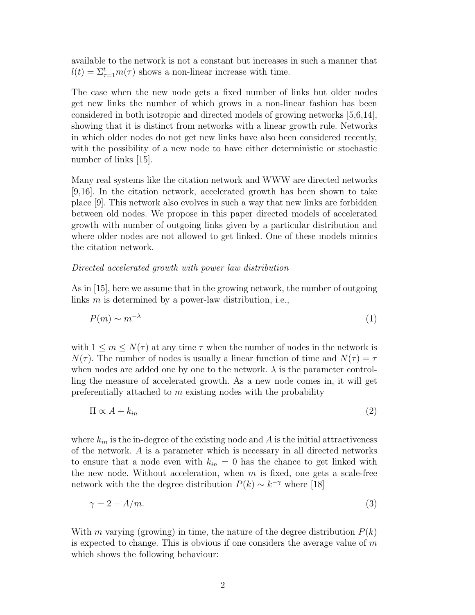available to the network is not a constant but increases in such a manner that  $l(t) = \sum_{\tau=1}^{t} m(\tau)$  shows a non-linear increase with time.

The case when the new node gets a fixed number of links but older nodes get new links the number of which grows in a non-linear fashion has been considered in both isotropic and directed models of growing networks [5,6,14], showing that it is distinct from networks with a linear growth rule. Networks in which older nodes do not get new links have also been considered recently, with the possibility of a new node to have either deterministic or stochastic number of links [15].

Many real systems like the citation network and WWW are directed networks [9,16]. In the citation network, accelerated growth has been shown to take place [9]. This network also evolves in such a way that new links are forbidden between old nodes. We propose in this paper directed models of accelerated growth with number of outgoing links given by a particular distribution and where older nodes are not allowed to get linked. One of these models mimics the citation network.

## Directed accelerated growth with power law distribution

As in [15], here we assume that in the growing network, the number of outgoing links m is determined by a power-law distribution, i.e.,

$$
P(m) \sim m^{-\lambda} \tag{1}
$$

with  $1 \leq m \leq N(\tau)$  at any time  $\tau$  when the number of nodes in the network is  $N(\tau)$ . The number of nodes is usually a linear function of time and  $N(\tau) = \tau$ when nodes are added one by one to the network.  $\lambda$  is the parameter controlling the measure of accelerated growth. As a new node comes in, it will get preferentially attached to m existing nodes with the probability

$$
\Pi \propto A + k_{in} \tag{2}
$$

where  $k_{in}$  is the in-degree of the existing node and A is the initial attractiveness of the network. A is a parameter which is necessary in all directed networks to ensure that a node even with  $k_{in} = 0$  has the chance to get linked with the new node. Without acceleration, when  $m$  is fixed, one gets a scale-free network with the the degree distribution  $P(k) \sim k^{-\gamma}$  where [18]

$$
\gamma = 2 + A/m. \tag{3}
$$

With m varying (growing) in time, the nature of the degree distribution  $P(k)$ is expected to change. This is obvious if one considers the average value of  $m$ which shows the following behaviour: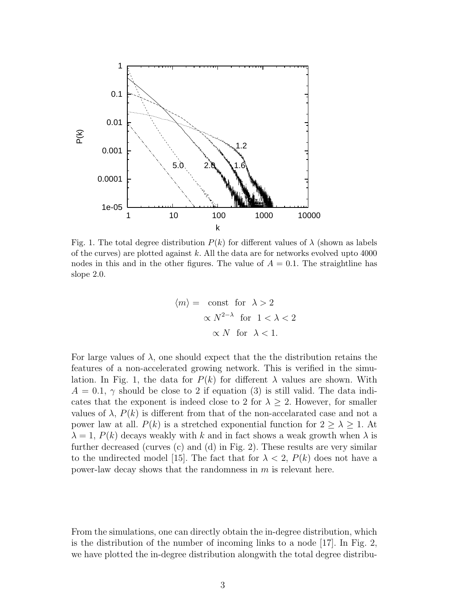

Fig. 1. The total degree distribution  $P(k)$  for different values of  $\lambda$  (shown as labels of the curves) are plotted against  $k$ . All the data are for networks evolved upto 4000 nodes in this and in the other figures. The value of  $A = 0.1$ . The straightline has slope 2.0.

$$
\langle m \rangle = \text{const} \text{ for } \lambda > 2
$$
  
 
$$
\propto N^{2-\lambda} \text{ for } 1 < \lambda < 2
$$
  
 
$$
\propto N \text{ for } \lambda < 1.
$$

For large values of  $\lambda$ , one should expect that the the distribution retains the features of a non-accelerated growing network. This is verified in the simulation. In Fig. 1, the data for  $P(k)$  for different  $\lambda$  values are shown. With  $A = 0.1, \gamma$  should be close to 2 if equation (3) is still valid. The data indicates that the exponent is indeed close to 2 for  $\lambda \geq 2$ . However, for smaller values of  $\lambda$ ,  $P(k)$  is different from that of the non-accelarated case and not a power law at all.  $P(k)$  is a stretched exponential function for  $2 \geq \lambda \geq 1$ . At  $\lambda = 1$ ,  $P(k)$  decays weakly with k and in fact shows a weak growth when  $\lambda$  is further decreased (curves (c) and (d) in Fig. 2). These results are very similar to the undirected model [15]. The fact that for  $\lambda < 2$ ,  $P(k)$  does not have a power-law decay shows that the randomness in  $m$  is relevant here.

From the simulations, one can directly obtain the in-degree distribution, which is the distribution of the number of incoming links to a node [17]. In Fig. 2, we have plotted the in-degree distribution alongwith the total degree distribu-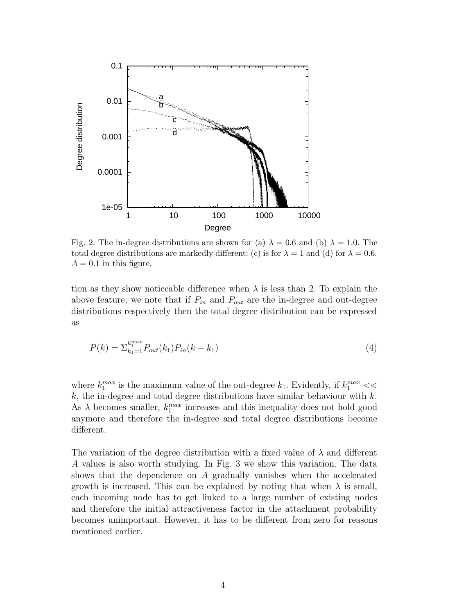

Fig. 2. The in-degree distributions are shown for (a)  $\lambda = 0.6$  and (b)  $\lambda = 1.0$ . The total degree distributions are markedly different: (c) is for  $\lambda = 1$  and (d) for  $\lambda = 0.6$ .  $A = 0.1$  in this figure.

tion as they show noticeable difference when  $\lambda$  is less than 2. To explain the above feature, we note that if  $P_{in}$  and  $P_{out}$  are the in-degree and out-degree distributions respectively then the total degree distribution can be expressed as

$$
P(k) = \sum_{k_1=1}^{k_1^{max}} P_{out}(k_1) P_{in}(k - k_1)
$$
\n(4)

where  $k_1^{max}$  is the maximum value of the out-degree  $k_1$ . Evidently, if  $k_1^{max}$  <<  $k$ , the in-degree and total degree distributions have similar behaviour with  $k$ . As  $\lambda$  becomes smaller,  $k_1^{max}$  increases and this inequality does not hold good anymore and therefore the in-degree and total degree distributions become different.

The variation of the degree distribution with a fixed value of  $\lambda$  and different A values is also worth studying. In Fig. 3 we show this variation. The data shows that the dependence on A gradually vanishes when the accelerated growth is increased. This can be explained by noting that when  $\lambda$  is small, each incoming node has to get linked to a large number of existing nodes and therefore the initial attractiveness factor in the attachment probability becomes unimportant. However, it has to be different from zero for reasons mentioned earlier.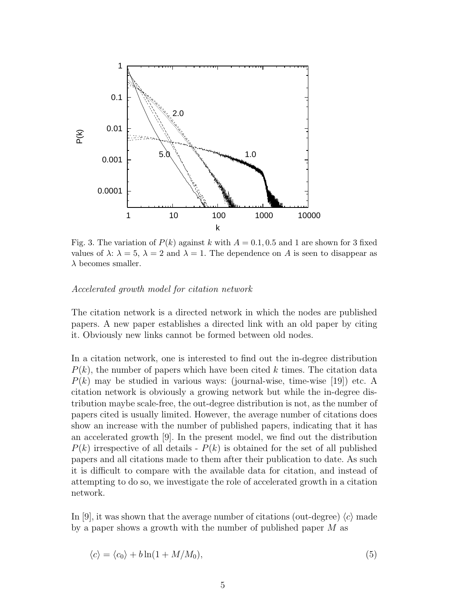

Fig. 3. The variation of  $P(k)$  against k with  $A = 0.1, 0.5$  and 1 are shown for 3 fixed values of  $\lambda: \lambda = 5, \lambda = 2$  and  $\lambda = 1$ . The dependence on A is seen to disappear as  $\lambda$  becomes smaller.

### Accelerated growth model for citation network

The citation network is a directed network in which the nodes are published papers. A new paper establishes a directed link with an old paper by citing it. Obviously new links cannot be formed between old nodes.

In a citation network, one is interested to find out the in-degree distribution  $P(k)$ , the number of papers which have been cited k times. The citation data  $P(k)$  may be studied in various ways: (journal-wise, time-wise [19]) etc. A citation network is obviously a growing network but while the in-degree distribution maybe scale-free, the out-degree distribution is not, as the number of papers cited is usually limited. However, the average number of citations does show an increase with the number of published papers, indicating that it has an accelerated growth [9]. In the present model, we find out the distribution  $P(k)$  irrespective of all details -  $P(k)$  is obtained for the set of all published papers and all citations made to them after their publication to date. As such it is difficult to compare with the available data for citation, and instead of attempting to do so, we investigate the role of accelerated growth in a citation network.

In [9], it was shown that the average number of citations (out-degree)  $\langle c \rangle$  made by a paper shows a growth with the number of published paper M as

$$
\langle c \rangle = \langle c_0 \rangle + b \ln(1 + M/M_0), \tag{5}
$$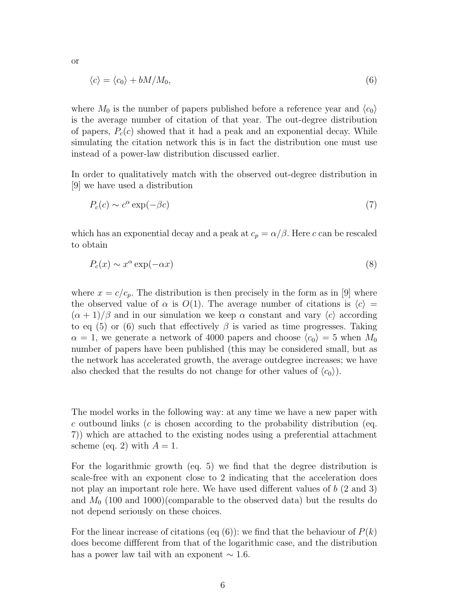$$
\langle c \rangle = \langle c_0 \rangle + bM/M_0,\tag{6}
$$

where  $M_0$  is the number of papers published before a reference year and  $\langle c_0 \rangle$ is the average number of citation of that year. The out-degree distribution of papers,  $P_c(c)$  showed that it had a peak and an exponential decay. While simulating the citation network this is in fact the distribution one must use instead of a power-law distribution discussed earlier.

In order to qualitatively match with the observed out-degree distribution in [9] we have used a distribution

$$
P_c(c) \sim c^{\alpha} \exp(-\beta c) \tag{7}
$$

which has an exponential decay and a peak at  $c_p = \alpha/\beta$ . Here c can be rescaled to obtain

$$
P_c(x) \sim x^{\alpha} \exp(-\alpha x) \tag{8}
$$

where  $x = c/c_p$ . The distribution is then precisely in the form as in [9] where the observed value of  $\alpha$  is  $O(1)$ . The average number of citations is  $\langle c \rangle =$  $(\alpha + 1)/\beta$  and in our simulation we keep  $\alpha$  constant and vary  $\langle c \rangle$  according to eq (5) or (6) such that effectively  $\beta$  is varied as time progresses. Taking  $\alpha = 1$ , we generate a network of 4000 papers and choose  $\langle c_0 \rangle = 5$  when  $M_0$ number of papers have been published (this may be considered small, but as the network has accelerated growth, the average outdegree increases; we have also checked that the results do not change for other values of  $\langle c_0 \rangle$ .

The model works in the following way: at any time we have a new paper with c outbound links (c is chosen according to the probability distribution (eq. 7)) which are attached to the existing nodes using a preferential attachment scheme (eq. 2) with  $A = 1$ .

For the logarithmic growth (eq. 5) we find that the degree distribution is scale-free with an exponent close to 2 indicating that the acceleration does not play an important role here. We have used different values of b (2 and 3) and  $M_0$  (100 and 1000)(comparable to the observed data) but the results do not depend seriously on these choices.

For the linear increase of citations (eq  $(6)$ ): we find that the behaviour of  $P(k)$ does become diffferent from that of the logarithmic case, and the distribution has a power law tail with an exponent  $\sim 1.6$ .

or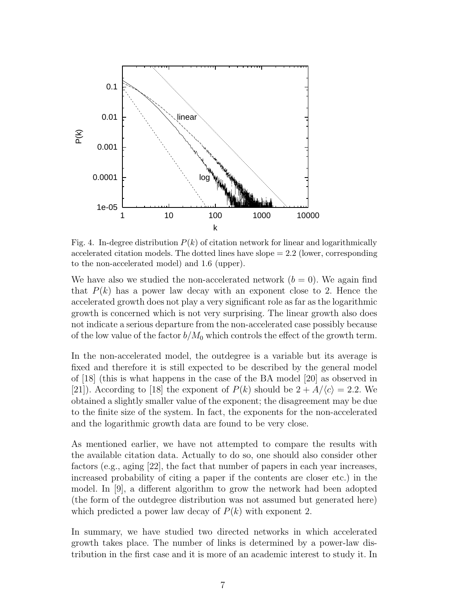

Fig. 4. In-degree distribution  $P(k)$  of citation network for linear and logarithmically accelerated citation models. The dotted lines have  $slope = 2.2$  (lower, corresponding to the non-accelerated model) and 1.6 (upper).

We have also we studied the non-accelerated network  $(b = 0)$ . We again find that  $P(k)$  has a power law decay with an exponent close to 2. Hence the accelerated growth does not play a very significant role as far as the logarithmic growth is concerned which is not very surprising. The linear growth also does not indicate a serious departure from the non-accelerated case possibly because of the low value of the factor  $b/M_0$  which controls the effect of the growth term.

In the non-accelerated model, the outdegree is a variable but its average is fixed and therefore it is still expected to be described by the general model of [18] (this is what happens in the case of the BA model [20] as observed in [21]). According to [18] the exponent of  $P(k)$  should be  $2 + A/\langle c \rangle = 2.2$ . We obtained a slightly smaller value of the exponent; the disagreement may be due to the finite size of the system. In fact, the exponents for the non-accelerated and the logarithmic growth data are found to be very close.

As mentioned earlier, we have not attempted to compare the results with the available citation data. Actually to do so, one should also consider other factors (e.g., aging [22], the fact that number of papers in each year increases, increased probability of citing a paper if the contents are closer etc.) in the model. In [9], a different algorithm to grow the network had been adopted (the form of the outdegree distribution was not assumed but generated here) which predicted a power law decay of  $P(k)$  with exponent 2.

In summary, we have studied two directed networks in which accelerated growth takes place. The number of links is determined by a power-law distribution in the first case and it is more of an academic interest to study it. In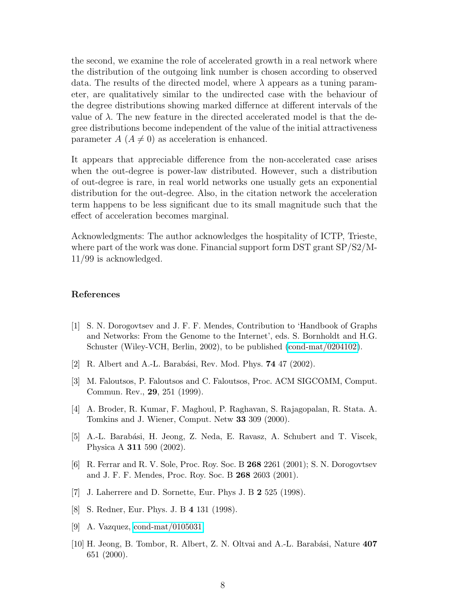the second, we examine the role of accelerated growth in a real network where the distribution of the outgoing link number is chosen according to observed data. The results of the directed model, where  $\lambda$  appears as a tuning parameter, are qualitatively similar to the undirected case with the behaviour of the degree distributions showing marked differnce at different intervals of the value of  $\lambda$ . The new feature in the directed accelerated model is that the degree distributions become independent of the value of the initial attractiveness parameter  $A(A \neq 0)$  as acceleration is enhanced.

It appears that appreciable difference from the non-accelerated case arises when the out-degree is power-law distributed. However, such a distribution of out-degree is rare, in real world networks one usually gets an exponential distribution for the out-degree. Also, in the citation network the acceleration term happens to be less significant due to its small magnitude such that the effect of acceleration becomes marginal.

Acknowledgments: The author acknowledges the hospitality of ICTP, Trieste, where part of the work was done. Financial support form DST grant SP/S2/M-11/99 is acknowledged.

## References

- [1] S. N. Dorogovtsev and J. F. F. Mendes, Contribution to 'Handbook of Graphs and Networks: From the Genome to the Internet', eds. S. Bornholdt and H.G. Schuster (Wiley-VCH, Berlin, 2002), to be published [\(cond-mat/0204102\)](http://arxiv.org/abs/cond-mat/0204102).
- [2] R. Albert and A.-L. Barabási, Rev. Mod. Phys. **74** 47 (2002).
- [3] M. Faloutsos, P. Faloutsos and C. Faloutsos, Proc. ACM SIGCOMM, Comput. Commun. Rev., 29, 251 (1999).
- [4] A. Broder, R. Kumar, F. Maghoul, P. Raghavan, S. Rajagopalan, R. Stata. A. Tomkins and J. Wiener, Comput. Netw 33 309 (2000).
- [5] A.-L. Barabási, H. Jeong, Z. Neda, E. Ravasz, A. Schubert and T. Viscek, Physica A 311 590 (2002).
- [6] R. Ferrar and R. V. Sole, Proc. Roy. Soc. B 268 2261 (2001); S. N. Dorogovtsev and J. F. F. Mendes, Proc. Roy. Soc. B 268 2603 (2001).
- [7] J. Laherrere and D. Sornette, Eur. Phys J. B 2 525 (1998).
- [8] S. Redner, Eur. Phys. J. B 4 131 (1998).
- [9] A. Vazquez, [cond-mat/0105031.](http://arxiv.org/abs/cond-mat/0105031)
- [10] H. Jeong, B. Tombor, R. Albert, Z. N. Oltvai and A.-L. Barabási, Nature  $407$ 651 (2000).